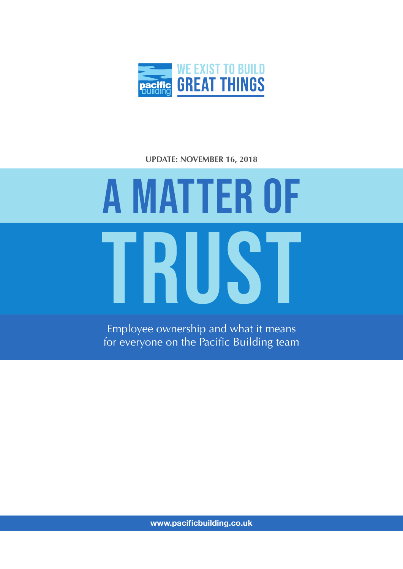

### **UPDATE: NOVEMBER 16, 2018**

### TRUST A MATTER OF

Employee ownership and what it means for everyone on the Pacific Building team

**www.pacificbuilding.co.uk**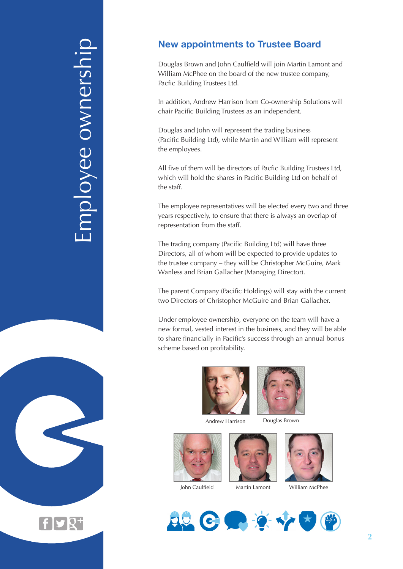# Employee ownership mployee ownership

 $\mathbf{f}$  y  $\overline{\mathbf{Q}^+}$ 

### **New appointments to Trustee Board**

Douglas Brown and John Caulfield will join Martin Lamont and William McPhee on the board of the new trustee company, Pacfic Building Trustees Ltd.

In addition, Andrew Harrison from Co-ownership Solutions will chair Pacific Building Trustees as an independent.

Douglas and John will represent the trading business (Pacific Building Ltd), while Martin and William will represent the employees.

All five of them will be directors of Pacfic Building Trustees Ltd, which will hold the shares in Pacific Building Ltd on behalf of the staff.

The employee representatives will be elected every two and three years respectively, to ensure that there is always an overlap of representation from the staff.

The trading company (Pacific Building Ltd) will have three Directors, all of whom will be expected to provide updates to the trustee company – they will be Christopher McGuire, Mark Wanless and Brian Gallacher (Managing Director).

The parent Company (Pacific Holdings) will stay with the current two Directors of Christopher McGuire and Brian Gallacher.

Under employee ownership, everyone on the team will have a new formal, vested interest in the business, and they will be able to share financially in Pacific's success through an annual bonus scheme based on profitability.











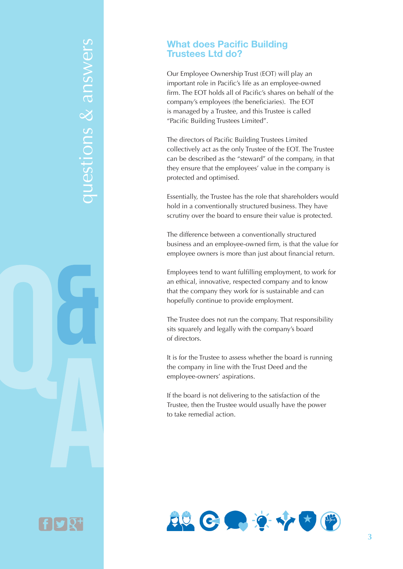## questions & answers questions & answers

### **What does Pacific Building Trustees Ltd do?**

Our Employee Ownership Trust (EOT) will play an important role in Pacific's life as an employee-owned firm. The EOT holds all of Pacific's shares on behalf of the company's employees (the beneficiaries). The EOT is managed by a Trustee, and this Trustee is called "Pacific Building Trustees Limited".

The directors of Pacific Building Trustees Limited collectively act as the only Trustee of the EOT. The Trustee can be described as the "steward" of the company, in that they ensure that the employees' value in the company is protected and optimised.

Essentially, the Trustee has the role that shareholders would hold in a conventionally structured business. They have scrutiny over the board to ensure their value is protected.

The difference between a conventionally structured business and an employee-owned firm, is that the value for employee owners is more than just about financial return.

Employees tend to want fulfilling employment, to work for an ethical, innovative, respected company and to know that the company they work for is sustainable and can hopefully continue to provide employment.

The Trustee does not run the company. That responsibility sits squarely and legally with the company's board of directors.

It is for the Trustee to assess whether the board is running the company in line with the Trust Deed and the employee-owners' aspirations.

If the board is not delivering to the satisfaction of the Trustee, then the Trustee would usually have the power to take remedial action.